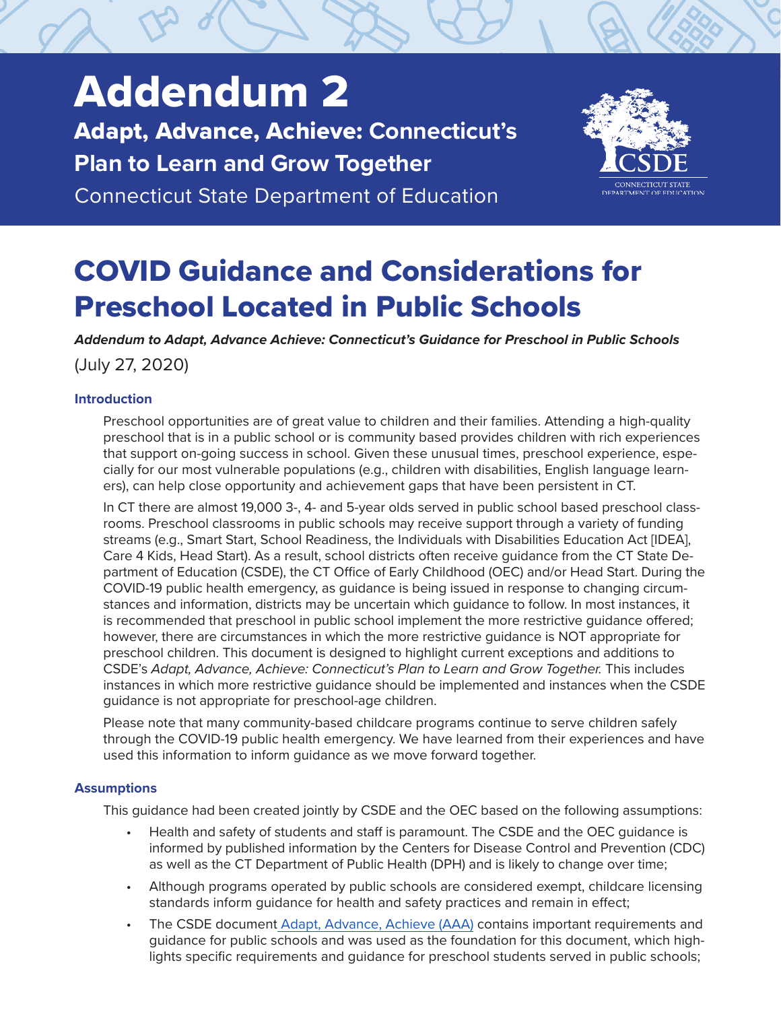# Addendum 2

Adapt, Advance, Achieve: **Connecticut's Plan to Learn and Grow Together**

Connecticut State Department of Education



# COVID Guidance and Considerations for Preschool Located in Public Schools

*Addendum to Adapt, Advance Achieve: Connecticut's Guidance for Preschool in Public Schools* (July 27, 2020)

# **Introduction**

Preschool opportunities are of great value to children and their families. Attending a high-quality preschool that is in a public school or is community based provides children with rich experiences that support on-going success in school. Given these unusual times, preschool experience, especially for our most vulnerable populations (e.g., children with disabilities, English language learners), can help close opportunity and achievement gaps that have been persistent in CT.

In CT there are almost 19,000 3-, 4- and 5-year olds served in public school based preschool classrooms. Preschool classrooms in public schools may receive support through a variety of funding streams (e.g., Smart Start, School Readiness, the Individuals with Disabilities Education Act [IDEA], Care 4 Kids, Head Start). As a result, school districts often receive guidance from the CT State Department of Education (CSDE), the CT Office of Early Childhood (OEC) and/or Head Start. During the COVID-19 public health emergency, as guidance is being issued in response to changing circumstances and information, districts may be uncertain which guidance to follow. In most instances, it is recommended that preschool in public school implement the more restrictive guidance offered; however, there are circumstances in which the more restrictive guidance is NOT appropriate for preschool children. This document is designed to highlight current exceptions and additions to CSDE's *Adapt, Advance, Achieve: Connecticut's Plan to Learn and Grow Together.* This includes instances in which more restrictive guidance should be implemented and instances when the CSDE guidance is not appropriate for preschool-age children.

Please note that many community-based childcare programs continue to serve children safely through the COVID-19 public health emergency. We have learned from their experiences and have used this information to inform guidance as we move forward together.

# **Assumptions**

This guidance had been created jointly by CSDE and the OEC based on the following assumptions:

- Health and safety of students and staff is paramount. The CSDE and the OEC guidance is informed by published information by the Centers for Disease Control and Prevention (CDC) as well as the CT Department of Public Health (DPH) and is likely to change over time;
- Although programs operated by public schools are considered exempt, childcare licensing standards inform guidance for health and safety practices and remain in effect;
- The CSDE document [Adapt, Advance, Achieve](https://portal.ct.gov/-/media/SDE/COVID-19/CTReopeningSchools.pdf) (AAA) contains important requirements and guidance for public schools and was used as the foundation for this document, which highlights specific requirements and guidance for preschool students served in public schools;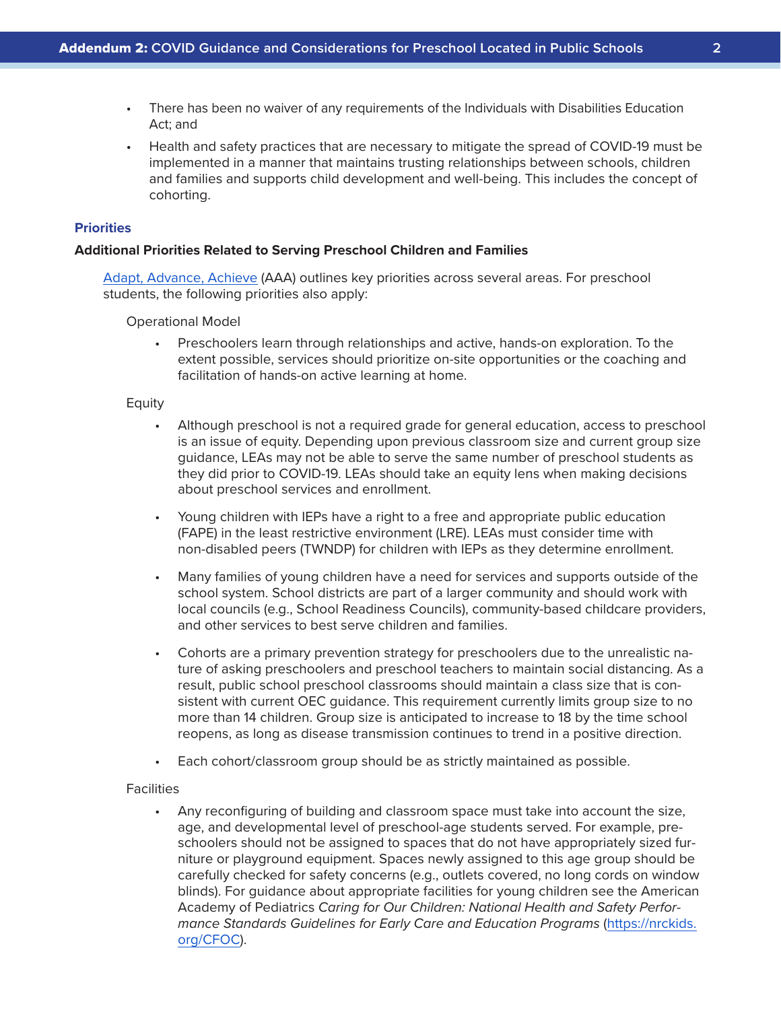- There has been no waiver of any requirements of the Individuals with Disabilities Education Act; and
- Health and safety practices that are necessary to mitigate the spread of COVID-19 must be implemented in a manner that maintains trusting relationships between schools, children and families and supports child development and well-being. This includes the concept of cohorting.

# **Priorities**

#### **Additional Priorities Related to Serving Preschool Children and Families**

[Adapt, Advance, Achieve](https://portal.ct.gov/-/media/SDE/COVID-19/CTReopeningSchools.pdf) (AAA) outlines key priorities across several areas. For preschool students, the following priorities also apply:

#### Operational Model

• Preschoolers learn through relationships and active, hands-on exploration. To the extent possible, services should prioritize on-site opportunities or the coaching and facilitation of hands-on active learning at home.

#### Equity

- Although preschool is not a required grade for general education, access to preschool is an issue of equity. Depending upon previous classroom size and current group size guidance, LEAs may not be able to serve the same number of preschool students as they did prior to COVID-19. LEAs should take an equity lens when making decisions about preschool services and enrollment.
- Young children with IEPs have a right to a free and appropriate public education (FAPE) in the least restrictive environment (LRE). LEAs must consider time with non-disabled peers (TWNDP) for children with IEPs as they determine enrollment.
- Many families of young children have a need for services and supports outside of the school system. School districts are part of a larger community and should work with local councils (e.g., School Readiness Councils), community-based childcare providers, and other services to best serve children and families.
- Cohorts are a primary prevention strategy for preschoolers due to the unrealistic nature of asking preschoolers and preschool teachers to maintain social distancing. As a result, public school preschool classrooms should maintain a class size that is consistent with current OEC guidance. This requirement currently limits group size to no more than 14 children. Group size is anticipated to increase to 18 by the time school reopens, as long as disease transmission continues to trend in a positive direction.
- Each cohort/classroom group should be as strictly maintained as possible.

#### **Facilities**

• Any reconfiguring of building and classroom space must take into account the size, age, and developmental level of preschool-age students served. For example, preschoolers should not be assigned to spaces that do not have appropriately sized furniture or playground equipment. Spaces newly assigned to this age group should be carefully checked for safety concerns (e.g., outlets covered, no long cords on window blinds). For guidance about appropriate facilities for young children see the American Academy of Pediatrics *Caring for Our Children: National Health and Safety Performance Standards Guidelines for Early Care and Education Programs* [\(https://nrckids.](https://nrckids.org/CFOC) [org/CFOC](https://nrckids.org/CFOC)).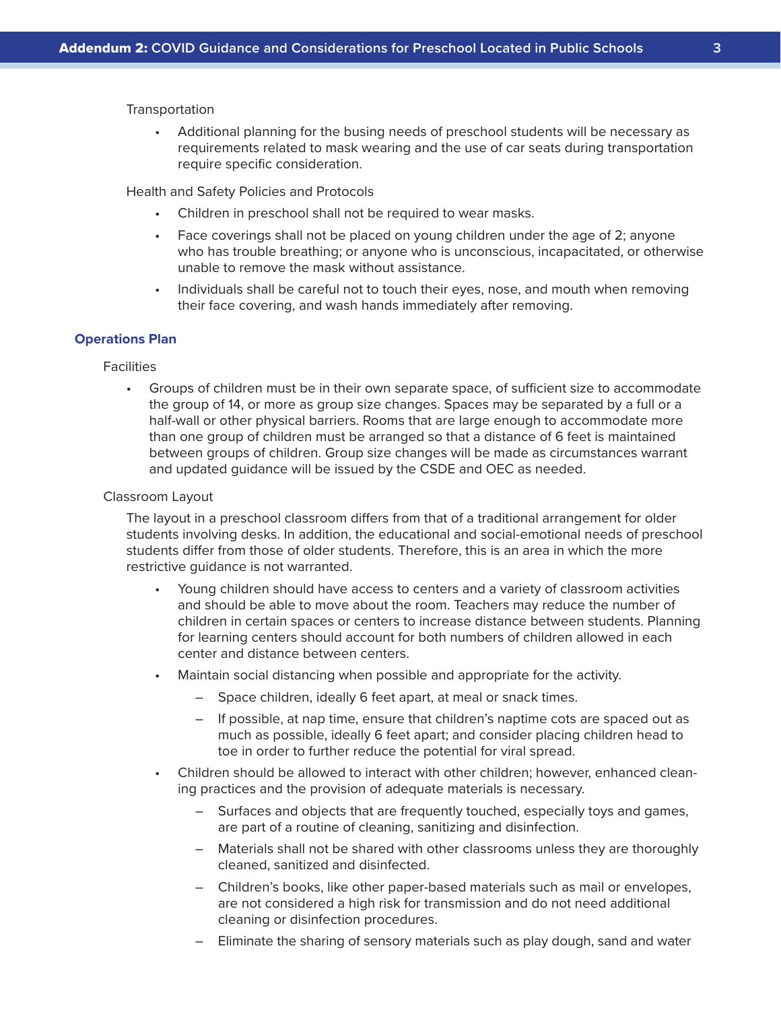#### **Transportation**

• Additional planning for the busing needs of preschool students will be necessary as requirements related to mask wearing and the use of car seats during transportation require specific consideration.

Health and Safety Policies and Protocols

- Children in preschool shall not be required to wear masks.
- Face coverings shall not be placed on young children under the age of 2; anyone who has trouble breathing; or anyone who is unconscious, incapacitated, or otherwise unable to remove the mask without assistance.
- Individuals shall be careful not to touch their eyes, nose, and mouth when removing their face covering, and wash hands immediately after removing.

#### **Operations Plan**

#### **Facilities**

• Groups of children must be in their own separate space, of sufficient size to accommodate the group of 14, or more as group size changes. Spaces may be separated by a full or a half-wall or other physical barriers. Rooms that are large enough to accommodate more than one group of children must be arranged so that a distance of 6 feet is maintained between groups of children. Group size changes will be made as circumstances warrant and updated guidance will be issued by the CSDE and OEC as needed.

#### Classroom Layout

The layout in a preschool classroom differs from that of a traditional arrangement for older students involving desks. In addition, the educational and social-emotional needs of preschool students differ from those of older students. Therefore, this is an area in which the more restrictive guidance is not warranted.

- Young children should have access to centers and a variety of classroom activities and should be able to move about the room. Teachers may reduce the number of children in certain spaces or centers to increase distance between students. Planning for learning centers should account for both numbers of children allowed in each center and distance between centers.
- Maintain social distancing when possible and appropriate for the activity.
	- Space children, ideally 6 feet apart, at meal or snack times.
	- If possible, at nap time, ensure that children's naptime cots are spaced out as much as possible, ideally 6 feet apart; and consider placing children head to toe in order to further reduce the potential for viral spread.
- Children should be allowed to interact with other children; however, enhanced cleaning practices and the provision of adequate materials is necessary.
	- Surfaces and objects that are frequently touched, especially toys and games, are part of a routine of cleaning, sanitizing and disinfection.
	- Materials shall not be shared with other classrooms unless they are thoroughly cleaned, sanitized and disinfected.
	- Children's books, like other paper-based materials such as mail or envelopes, are not considered a high risk for transmission and do not need additional cleaning or disinfection procedures.
	- Eliminate the sharing of sensory materials such as play dough, sand and water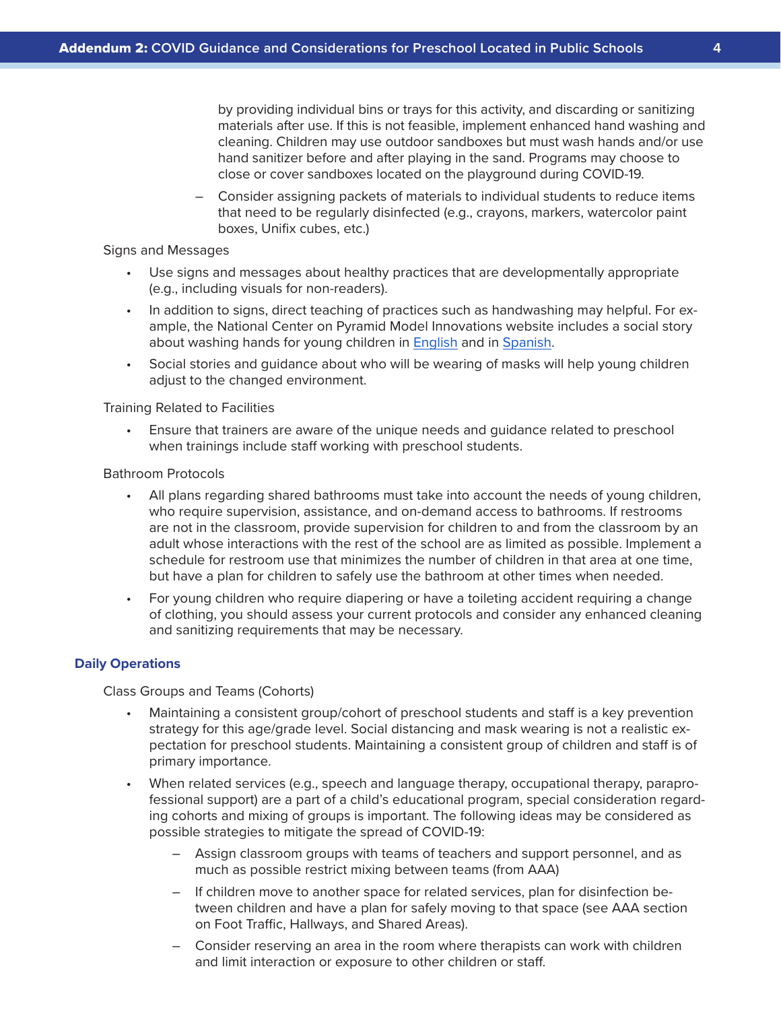by providing individual bins or trays for this activity, and discarding or sanitizing materials after use. If this is not feasible, implement enhanced hand washing and cleaning. Children may use outdoor sandboxes but must wash hands and/or use hand sanitizer before and after playing in the sand. Programs may choose to close or cover sandboxes located on the playground during COVID-19.

– Consider assigning packets of materials to individual students to reduce items that need to be regularly disinfected (e.g., crayons, markers, watercolor paint boxes, Unifix cubes, etc.)

#### Signs and Messages

- Use signs and messages about healthy practices that are developmentally appropriate (e.g., including visuals for non-readers).
- In addition to signs, direct teaching of practices such as handwashing may helpful. For example, the National Center on Pyramid Model Innovations website includes a social story about washing hands for young children in [English](https://challengingbehavior.cbcs.usf.edu/docs/washing-hands_story.pdf) and in [Spanish](https://challengingbehavior.cbcs.usf.edu/docs/washing-hands_story_sp.pdf).
- Social stories and guidance about who will be wearing of masks will help young children adjust to the changed environment.

#### Training Related to Facilities

• Ensure that trainers are aware of the unique needs and guidance related to preschool when trainings include staff working with preschool students.

#### Bathroom Protocols

- All plans regarding shared bathrooms must take into account the needs of young children, who require supervision, assistance, and on-demand access to bathrooms. If restrooms are not in the classroom, provide supervision for children to and from the classroom by an adult whose interactions with the rest of the school are as limited as possible. Implement a schedule for restroom use that minimizes the number of children in that area at one time, but have a plan for children to safely use the bathroom at other times when needed.
- For young children who require diapering or have a toileting accident requiring a change of clothing, you should assess your current protocols and consider any enhanced cleaning and sanitizing requirements that may be necessary.

#### **Daily Operations**

Class Groups and Teams (Cohorts)

- Maintaining a consistent group/cohort of preschool students and staff is a key prevention strategy for this age/grade level. Social distancing and mask wearing is not a realistic expectation for preschool students. Maintaining a consistent group of children and staff is of primary importance.
- When related services (e.g., speech and language therapy, occupational therapy, paraprofessional support) are a part of a child's educational program, special consideration regarding cohorts and mixing of groups is important. The following ideas may be considered as possible strategies to mitigate the spread of COVID-19:
	- Assign classroom groups with teams of teachers and support personnel, and as much as possible restrict mixing between teams (from AAA)
	- If children move to another space for related services, plan for disinfection between children and have a plan for safely moving to that space (see AAA section on Foot Traffic, Hallways, and Shared Areas).
	- Consider reserving an area in the room where therapists can work with children and limit interaction or exposure to other children or staff.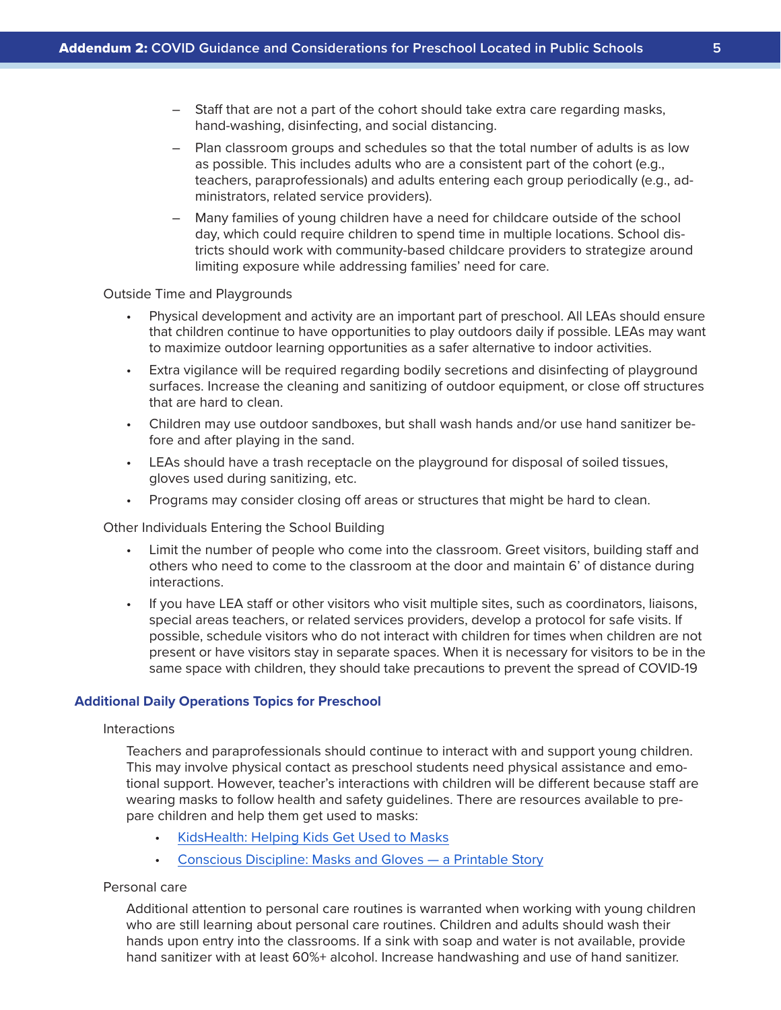- Staff that are not a part of the cohort should take extra care regarding masks, hand-washing, disinfecting, and social distancing.
- Plan classroom groups and schedules so that the total number of adults is as low as possible. This includes adults who are a consistent part of the cohort (e.g., teachers, paraprofessionals) and adults entering each group periodically (e.g., administrators, related service providers).
- Many families of young children have a need for childcare outside of the school day, which could require children to spend time in multiple locations. School districts should work with community-based childcare providers to strategize around limiting exposure while addressing families' need for care.

#### Outside Time and Playgrounds

- Physical development and activity are an important part of preschool. All LEAs should ensure that children continue to have opportunities to play outdoors daily if possible. LEAs may want to maximize outdoor learning opportunities as a safer alternative to indoor activities.
- Extra vigilance will be required regarding bodily secretions and disinfecting of playground surfaces. Increase the cleaning and sanitizing of outdoor equipment, or close off structures that are hard to clean.
- Children may use outdoor sandboxes, but shall wash hands and/or use hand sanitizer before and after playing in the sand.
- LEAs should have a trash receptacle on the playground for disposal of soiled tissues, gloves used during sanitizing, etc.
- Programs may consider closing off areas or structures that might be hard to clean.

Other Individuals Entering the School Building

- Limit the number of people who come into the classroom. Greet visitors, building staff and others who need to come to the classroom at the door and maintain 6' of distance during interactions.
- If you have LEA staff or other visitors who visit multiple sites, such as coordinators, liaisons, special areas teachers, or related services providers, develop a protocol for safe visits. If possible, schedule visitors who do not interact with children for times when children are not present or have visitors stay in separate spaces. When it is necessary for visitors to be in the same space with children, they should take precautions to prevent the spread of COVID-19

# **Additional Daily Operations Topics for Preschool**

#### Interactions

Teachers and paraprofessionals should continue to interact with and support young children. This may involve physical contact as preschool students need physical assistance and emotional support. However, teacher's interactions with children will be different because staff are wearing masks to follow health and safety guidelines. There are resources available to prepare children and help them get used to masks:

- [KidsHealth: Helping Kids Get Used to Masks](https://kidshealth.org/en/parents/coronavirus-masks.html)
- [Conscious Discipline: Masks and Gloves a Printable Story](https://consciousdiscipline.com/resources/masks-and-gloves-printable-story/)

# Personal care

Additional attention to personal care routines is warranted when working with young children who are still learning about personal care routines. Children and adults should wash their hands upon entry into the classrooms. If a sink with soap and water is not available, provide hand sanitizer with at least 60%+ alcohol. Increase handwashing and use of hand sanitizer.